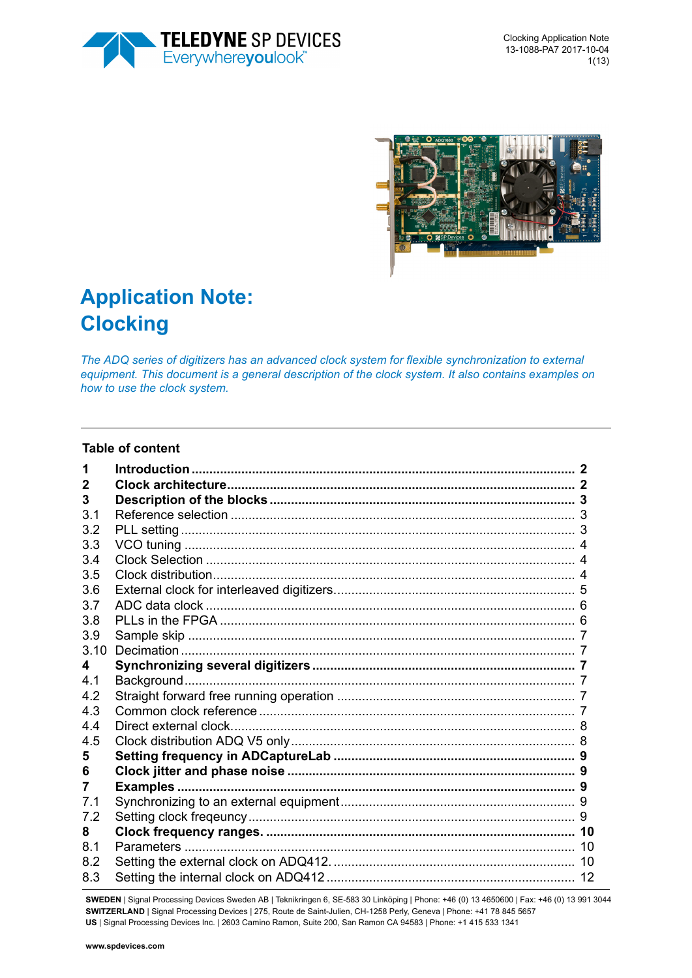



# **Application Note: Clocking**

*The ADQ series of digitizers has an advanced clock system for flexible synchronization to external equipment. This document is a general description of the clock system. It also contains examples on how to use the clock system.* 

#### **Table of content**

| 2    |  |
|------|--|
| 3    |  |
| 3.1  |  |
| 3.2  |  |
| 3.3  |  |
| 3.4  |  |
| 3.5  |  |
| 3.6  |  |
| 3.7  |  |
| 3.8  |  |
| 3.9  |  |
| 3.10 |  |
| 4    |  |
| 4 1  |  |
| 4.2  |  |
| 4.3  |  |
| 4.4  |  |
| 4.5  |  |
| 5    |  |
| 6    |  |
| 7    |  |
| 7.1  |  |
| 7.2  |  |
| 8    |  |
| 8.1  |  |
| 8.2  |  |
| 8.3  |  |

**SWEDEN** | Signal Processing Devices Sweden AB | Teknikringen 6, SE-583 30 Linköping | Phone: +46 (0) 13 4650600 | Fax: +46 (0) 13 991 3044 **SWITZERLAND** | Signal Processing Devices | 275, Route de Saint-Julien, CH-1258 Perly, Geneva | Phone: +41 78 845 5657 **US** | Signal Processing Devices Inc. | 2603 Camino Ramon, Suite 200, San Ramon CA 94583 | Phone: +1 415 533 1341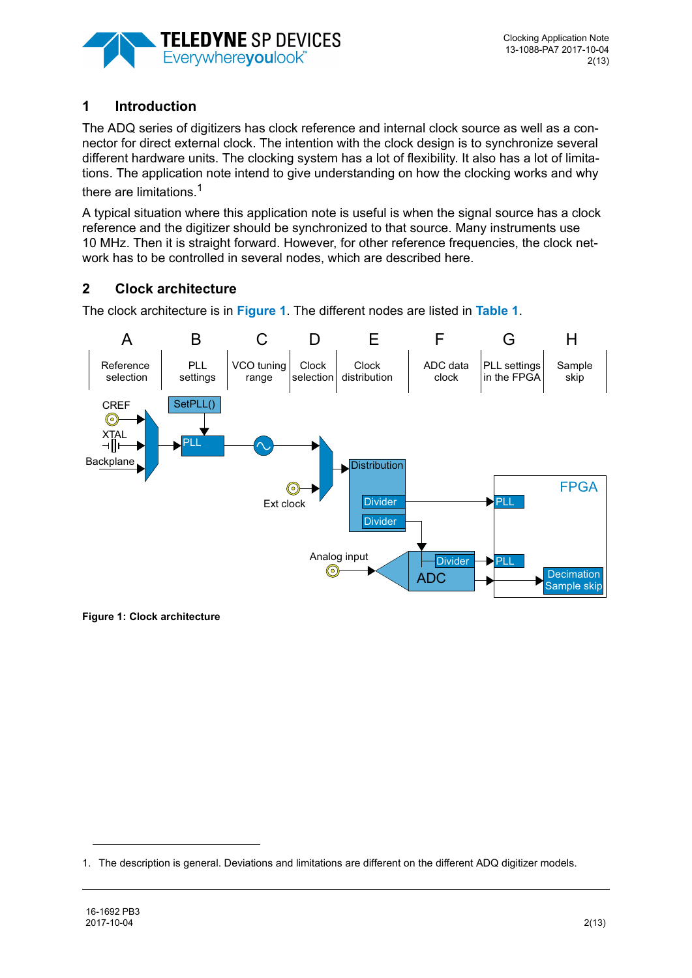

## <span id="page-1-0"></span>**1 Introduction**

The ADQ series of digitizers has clock reference and internal clock source as well as a connector for direct external clock. The intention with the clock design is to synchronize several different hardware units. The clocking system has a lot of flexibility. It also has a lot of limitations. The application note intend to give understanding on how the clocking works and why there are limitations.<sup>1</sup>

A typical situation where this application note is useful is when the signal source has a clock reference and the digitizer should be synchronized to that source. Many instruments use 10 MHz. Then it is straight forward. However, for other reference frequencies, the clock network has to be controlled in several nodes, which are described here.

## <span id="page-1-1"></span>**2 Clock architecture**

The clock architecture is in **[Figure 1](#page-1-2)**. The different nodes are listed in **[Table 1](#page-2-3)**.



<span id="page-1-2"></span>**Figure 1: Clock architecture**

<sup>1.</sup> The description is general. Deviations and limitations are different on the different ADQ digitizer models.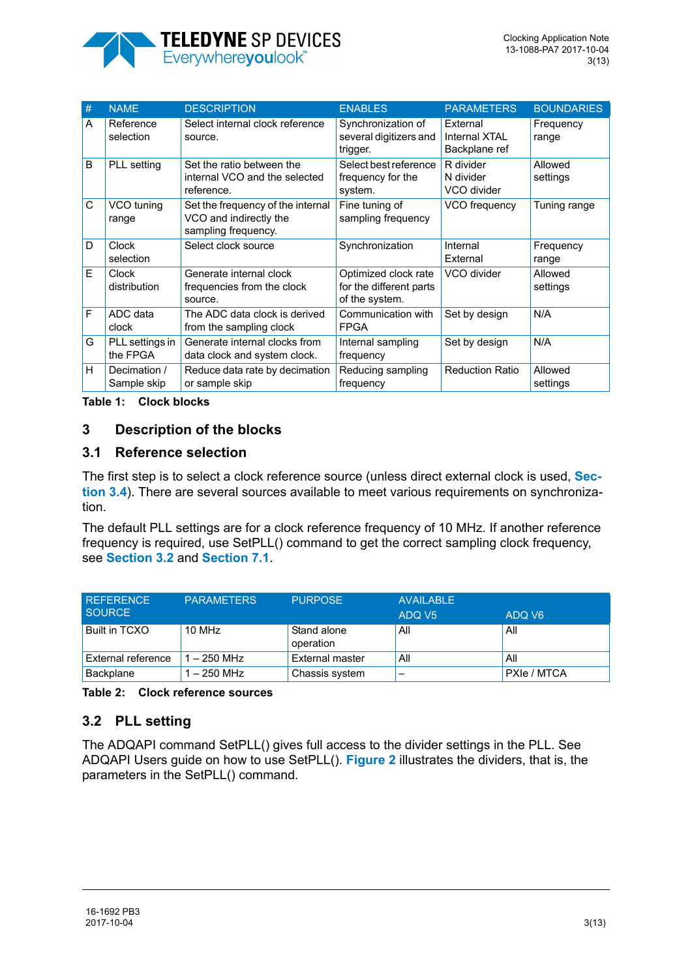

| # | <b>NAME</b>                  | <b>DESCRIPTION</b>                                                                 | <b>ENABLES</b>                                                    | <b>PARAMETERS</b>                                 | <b>BOUNDARIES</b>   |
|---|------------------------------|------------------------------------------------------------------------------------|-------------------------------------------------------------------|---------------------------------------------------|---------------------|
| A | Reference<br>selection       | Select internal clock reference<br>source.                                         | Synchronization of<br>several digitizers and<br>trigger.          | External<br><b>Internal XTAL</b><br>Backplane ref | Frequency<br>range  |
| B | PLL setting                  | Set the ratio between the<br>internal VCO and the selected<br>reference.           | Select best reference<br>frequency for the<br>system.             | R divider<br>N divider<br>VCO divider             | Allowed<br>settings |
| C | VCO tuning<br>range          | Set the frequency of the internal<br>VCO and indirectly the<br>sampling frequency. | Fine tuning of<br>sampling frequency                              | VCO frequency                                     | Tuning range        |
| D | <b>Clock</b><br>selection    | Select clock source                                                                | Synchronization                                                   | Internal<br>External                              | Frequency<br>range  |
| F | <b>Clock</b><br>distribution | Generate internal clock<br>frequencies from the clock<br>source.                   | Optimized clock rate<br>for the different parts<br>of the system. | VCO divider                                       | Allowed<br>settings |
| F | ADC data<br>clock            | The ADC data clock is derived<br>from the sampling clock                           | Communication with<br><b>FPGA</b>                                 | Set by design                                     | N/A                 |
| G | PLL settings in<br>the FPGA  | Generate internal clocks from<br>data clock and system clock.                      | Internal sampling<br>frequency                                    | Set by design                                     | N/A                 |
| Н | Decimation /<br>Sample skip  | Reduce data rate by decimation<br>or sample skip                                   | Reducing sampling<br>frequency                                    | <b>Reduction Ratio</b>                            | Allowed<br>settings |

<span id="page-2-3"></span>**Table 1: Clock blocks**

#### <span id="page-2-0"></span>**3 Description of the blocks**

#### <span id="page-2-1"></span>**3.1 Reference selection**

The first step is to select a clock reference source (unless direct external clock is used, **[Sec](#page-3-1)[tion 3.4](#page-3-1)**). There are several sources available to meet various requirements on synchronization.

The default PLL settings are for a clock reference frequency of 10 MHz. If another reference frequency is required, use SetPLL() command to get the correct sampling clock frequency, see **[Section 3.2](#page-2-2)** and **[Section 7.1](#page-8-3)**.

| <b>REFERENCE</b><br><b>SOURCE</b> | <b>PARAMETERS</b> | <b>PURPOSE</b>           | <b>AVAILABLE</b><br>ADQ V <sub>5</sub> | ADQ V <sub>6</sub> |  |
|-----------------------------------|-------------------|--------------------------|----------------------------------------|--------------------|--|
| Built in TCXO                     | 10 MHz            | Stand alone<br>operation | All                                    | All                |  |
| External reference                | $1 - 250$ MHz     | External master          | All                                    | All                |  |
| Backplane                         | $1 - 250$ MHz     | Chassis system           |                                        | PXIe / MTCA        |  |

**Table 2: Clock reference sources**

## <span id="page-2-2"></span>**3.2 PLL setting**

The ADQAPI command SetPLL() gives full access to the divider settings in the PLL. See ADQAPI Users guide on how to use SetPLL(). **[Figure 2](#page-3-3)** illustrates the dividers, that is, the parameters in the SetPLL() command.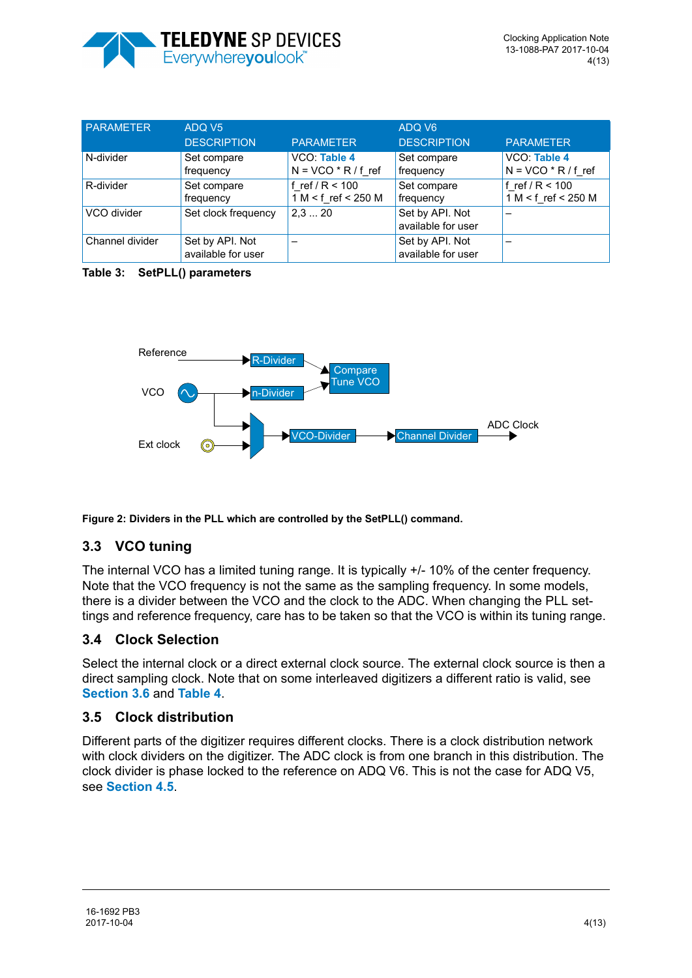

| PARAMETER       | ADQ V <sub>5</sub>                    |                                          | ADQ V6                                |                                          |
|-----------------|---------------------------------------|------------------------------------------|---------------------------------------|------------------------------------------|
|                 | <b>DESCRIPTION</b>                    | <b>PARAMETER</b>                         | <b>DESCRIPTION</b>                    | <b>PARAMETER</b>                         |
| N-divider       | Set compare<br>frequency              | VCO: Table 4<br>$N = VCO * R / f$ ref    | Set compare<br>frequency              | VCO: Table 4<br>$N = VCO * R / f$ ref    |
| R-divider       | Set compare<br>frequency              | f ref / $R < 100$<br>1 M < f ref < 250 M | Set compare<br>frequency              | f ref / $R < 100$<br>1 M < f ref < 250 M |
| VCO divider     | Set clock frequency                   | 2,320                                    | Set by API. Not<br>available for user |                                          |
| Channel divider | Set by API. Not<br>available for user |                                          | Set by API. Not<br>available for user |                                          |

**Table 3: SetPLL() parameters**



<span id="page-3-3"></span>**Figure 2: Dividers in the PLL which are controlled by the SetPLL() command.** 

# <span id="page-3-0"></span>**3.3 VCO tuning**

The internal VCO has a limited tuning range. It is typically +/- 10% of the center frequency. Note that the VCO frequency is not the same as the sampling frequency. In some models, there is a divider between the VCO and the clock to the ADC. When changing the PLL settings and reference frequency, care has to be taken so that the VCO is within its tuning range.

# <span id="page-3-1"></span>**3.4 Clock Selection**

Select the internal clock or a direct external clock source. The external clock source is then a direct sampling clock. Note that on some interleaved digitizers a different ratio is valid, see **[Section 3.6](#page-4-0)** and **[Table 4](#page-9-3)**.

## <span id="page-3-2"></span>**3.5 Clock distribution**

Different parts of the digitizer requires different clocks. There is a clock distribution network with clock dividers on the digitizer. The ADC clock is from one branch in this distribution. The clock divider is phase locked to the reference on ADQ V6. This is not the case for ADQ V5, see **[Section 4.5](#page-7-0)**.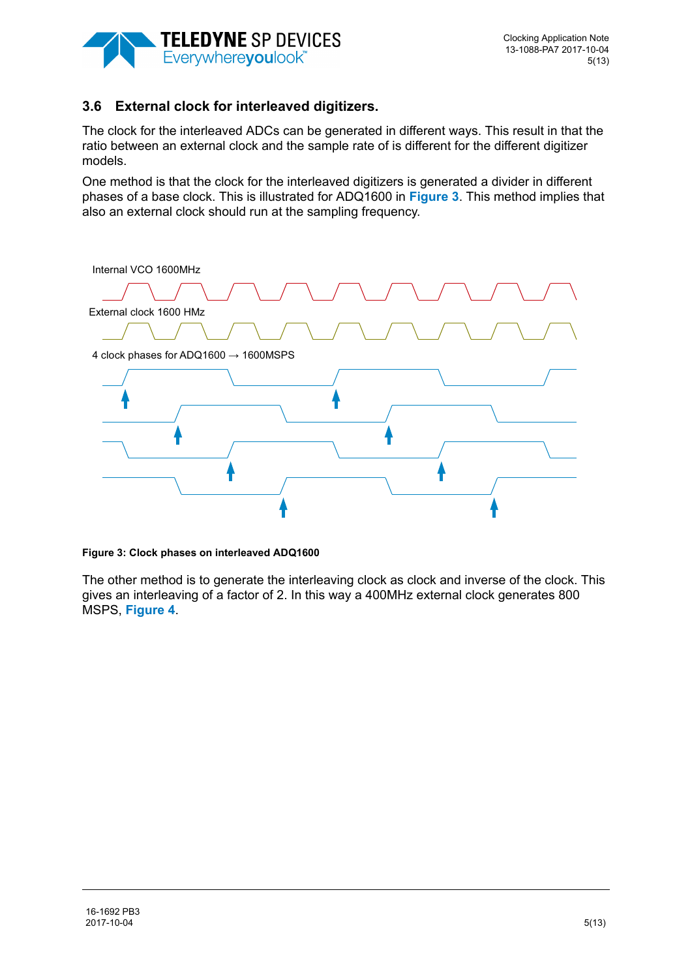

#### <span id="page-4-0"></span>**3.6 External clock for interleaved digitizers.**

The clock for the interleaved ADCs can be generated in different ways. This result in that the ratio between an external clock and the sample rate of is different for the different digitizer models.

One method is that the clock for the interleaved digitizers is generated a divider in different phases of a base clock. This is illustrated for ADQ1600 in **[Figure 3](#page-4-1)**. This method implies that also an external clock should run at the sampling frequency.



#### <span id="page-4-1"></span>**Figure 3: Clock phases on interleaved ADQ1600**

The other method is to generate the interleaving clock as clock and inverse of the clock. This gives an interleaving of a factor of 2. In this way a 400MHz external clock generates 800 MSPS, **[Figure 4](#page-5-2)**.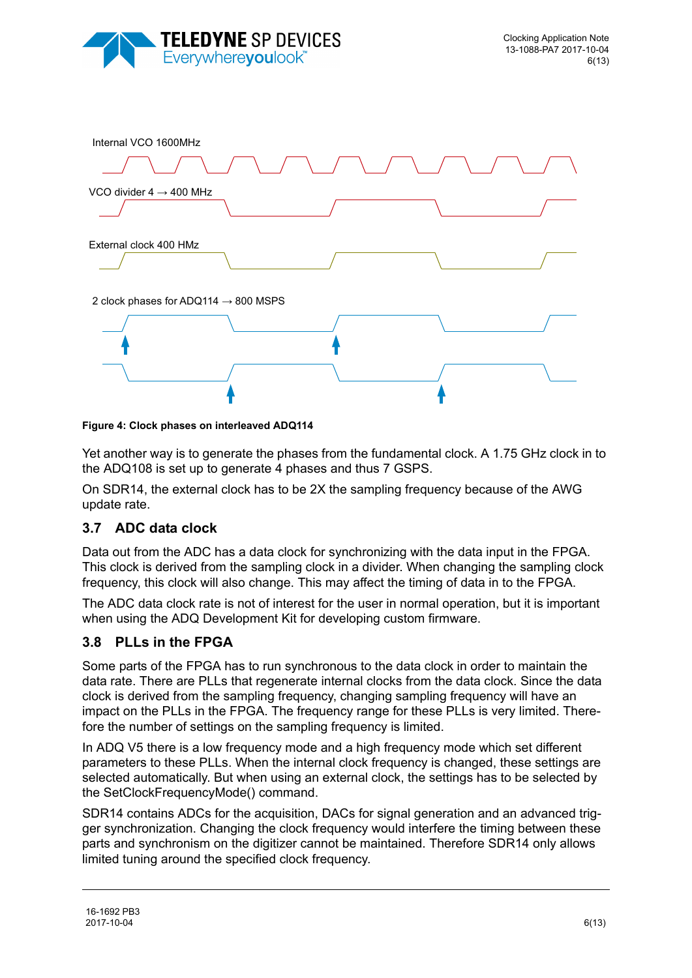



<span id="page-5-2"></span>**Figure 4: Clock phases on interleaved ADQ114**

Yet another way is to generate the phases from the fundamental clock. A 1.75 GHz clock in to the ADQ108 is set up to generate 4 phases and thus 7 GSPS.

On SDR14, the external clock has to be 2X the sampling frequency because of the AWG update rate.

## <span id="page-5-0"></span>**3.7 ADC data clock**

Data out from the ADC has a data clock for synchronizing with the data input in the FPGA. This clock is derived from the sampling clock in a divider. When changing the sampling clock frequency, this clock will also change. This may affect the timing of data in to the FPGA.

The ADC data clock rate is not of interest for the user in normal operation, but it is important when using the ADQ Development Kit for developing custom firmware.

#### <span id="page-5-1"></span>**3.8 PLLs in the FPGA**

Some parts of the FPGA has to run synchronous to the data clock in order to maintain the data rate. There are PLLs that regenerate internal clocks from the data clock. Since the data clock is derived from the sampling frequency, changing sampling frequency will have an impact on the PLLs in the FPGA. The frequency range for these PLLs is very limited. Therefore the number of settings on the sampling frequency is limited.

In ADQ V5 there is a low frequency mode and a high frequency mode which set different parameters to these PLLs. When the internal clock frequency is changed, these settings are selected automatically. But when using an external clock, the settings has to be selected by the SetClockFrequencyMode() command.

SDR14 contains ADCs for the acquisition, DACs for signal generation and an advanced trigger synchronization. Changing the clock frequency would interfere the timing between these parts and synchronism on the digitizer cannot be maintained. Therefore SDR14 only allows limited tuning around the specified clock frequency.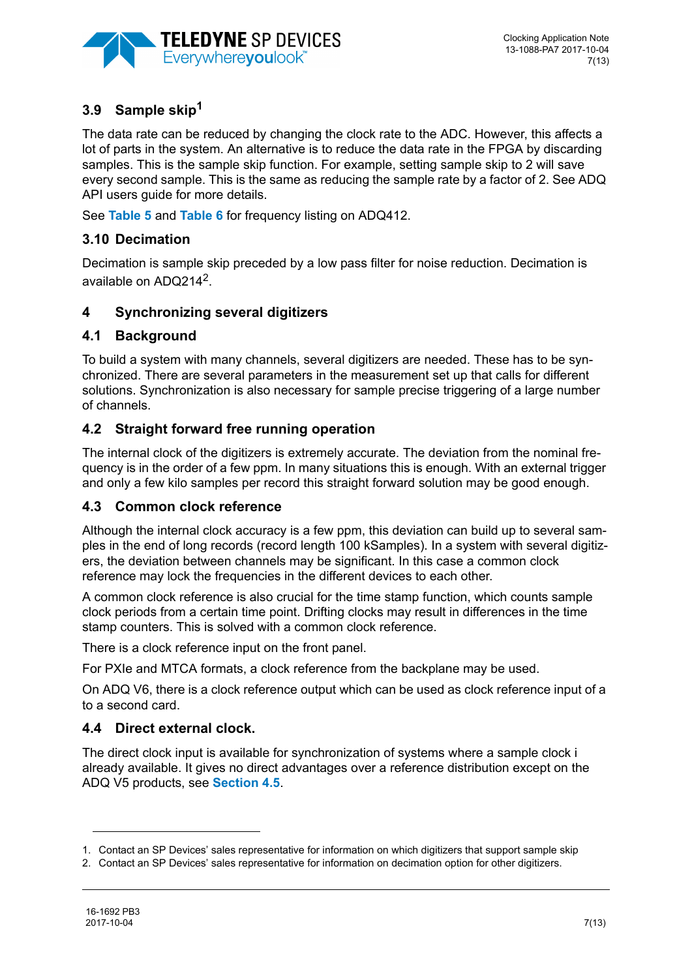

# <span id="page-6-0"></span>**3.9 Sample skip1**

The data rate can be reduced by changing the clock rate to the ADC. However, this affects a lot of parts in the system. An alternative is to reduce the data rate in the FPGA by discarding samples. This is the sample skip function. For example, setting sample skip to 2 will save every second sample. This is the same as reducing the sample rate by a factor of 2. See ADQ API users guide for more details.

See **[Table 5](#page-10-0)** and **[Table 6](#page-10-1)** for frequency listing on ADQ412.

#### <span id="page-6-1"></span>**3.10 Decimation**

Decimation is sample skip preceded by a low pass filter for noise reduction. Decimation is available on  $ADO214^2$ .

#### <span id="page-6-2"></span>**4 Synchronizing several digitizers**

#### <span id="page-6-3"></span>**4.1 Background**

To build a system with many channels, several digitizers are needed. These has to be synchronized. There are several parameters in the measurement set up that calls for different solutions. Synchronization is also necessary for sample precise triggering of a large number of channels.

#### <span id="page-6-4"></span>**4.2 Straight forward free running operation**

The internal clock of the digitizers is extremely accurate. The deviation from the nominal frequency is in the order of a few ppm. In many situations this is enough. With an external trigger and only a few kilo samples per record this straight forward solution may be good enough.

#### <span id="page-6-5"></span>**4.3 Common clock reference**

Although the internal clock accuracy is a few ppm, this deviation can build up to several samples in the end of long records (record length 100 kSamples). In a system with several digitizers, the deviation between channels may be significant. In this case a common clock reference may lock the frequencies in the different devices to each other.

A common clock reference is also crucial for the time stamp function, which counts sample clock periods from a certain time point. Drifting clocks may result in differences in the time stamp counters. This is solved with a common clock reference.

There is a clock reference input on the front panel.

For PXIe and MTCA formats, a clock reference from the backplane may be used.

On ADQ V6, there is a clock reference output which can be used as clock reference input of a to a second card.

#### <span id="page-6-6"></span>**4.4 Direct external clock.**

The direct clock input is available for synchronization of systems where a sample clock i already available. It gives no direct advantages over a reference distribution except on the ADQ V5 products, see **[Section 4.5](#page-7-0)**.

<sup>1.</sup> Contact an SP Devices' sales representative for information on which digitizers that support sample skip

<sup>2.</sup> Contact an SP Devices' sales representative for information on decimation option for other digitizers.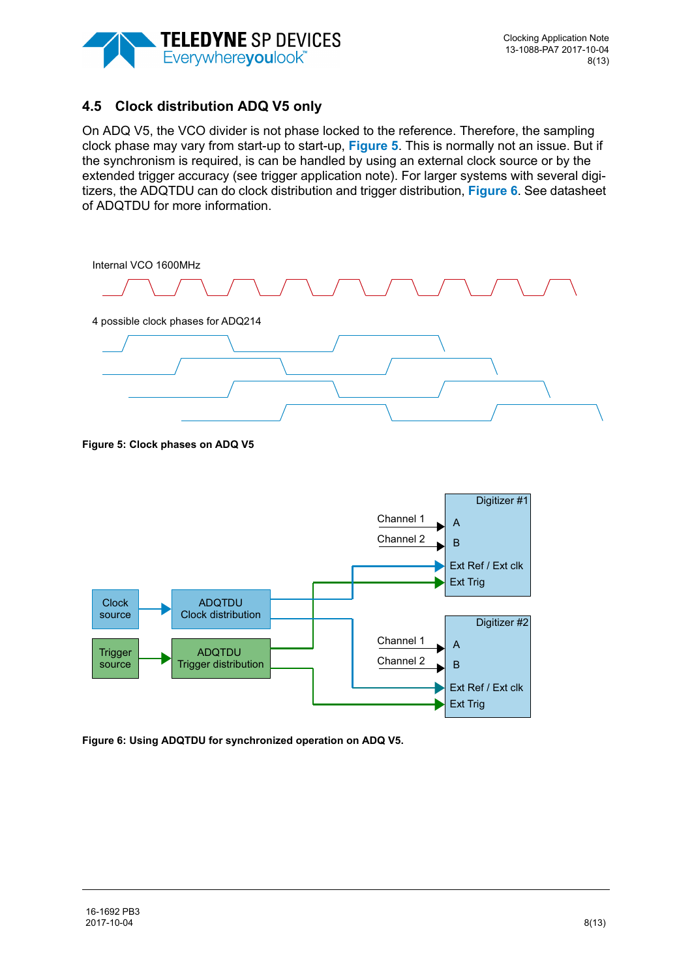

# <span id="page-7-0"></span>**4.5 Clock distribution ADQ V5 only**

On ADQ V5, the VCO divider is not phase locked to the reference. Therefore, the sampling clock phase may vary from start-up to start-up, **[Figure 5](#page-7-1)**. This is normally not an issue. But if the synchronism is required, is can be handled by using an external clock source or by the extended trigger accuracy (see trigger application note). For larger systems with several digitizers, the ADQTDU can do clock distribution and trigger distribution, **[Figure 6](#page-7-2)**. See datasheet of ADQTDU for more information.



<span id="page-7-1"></span>**Figure 5: Clock phases on ADQ V5** 

![](_page_7_Figure_6.jpeg)

<span id="page-7-2"></span>**Figure 6: Using ADQTDU for synchronized operation on ADQ V5.**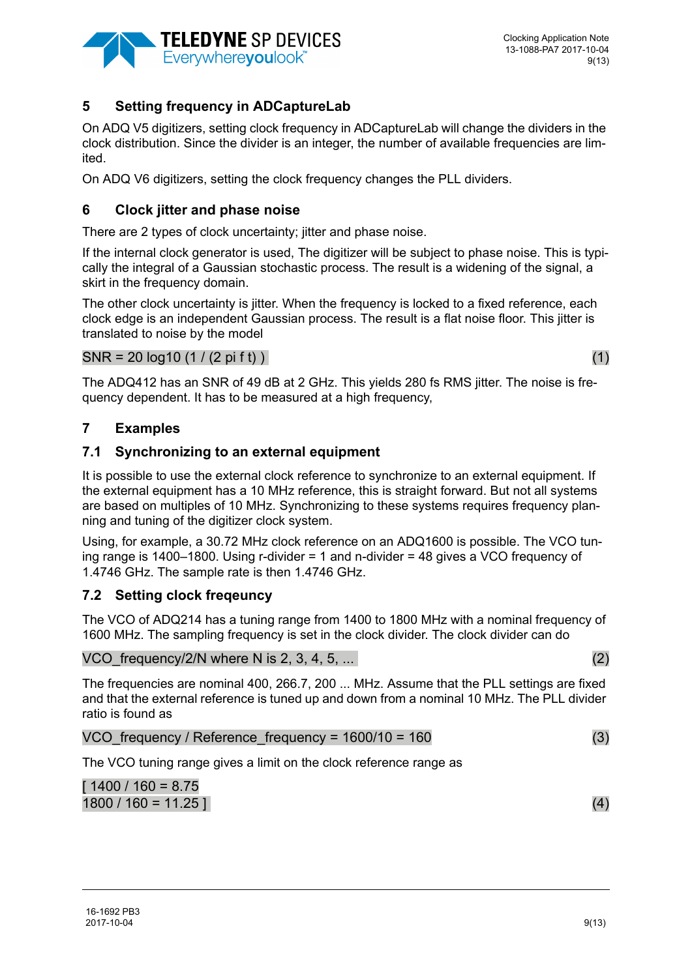![](_page_8_Picture_0.jpeg)

## <span id="page-8-0"></span>**5 Setting frequency in ADCaptureLab**

On ADQ V5 digitizers, setting clock frequency in ADCaptureLab will change the dividers in the clock distribution. Since the divider is an integer, the number of available frequencies are limited.

On ADQ V6 digitizers, setting the clock frequency changes the PLL dividers.

#### <span id="page-8-1"></span>**6 Clock jitter and phase noise**

There are 2 types of clock uncertainty; jitter and phase noise.

If the internal clock generator is used, The digitizer will be subject to phase noise. This is typically the integral of a Gaussian stochastic process. The result is a widening of the signal, a skirt in the frequency domain.

The other clock uncertainty is jitter. When the frequency is locked to a fixed reference, each clock edge is an independent Gaussian process. The result is a flat noise floor. This jitter is translated to noise by the model

#### $SNR = 20 log 10 (1 / (2 pi ft))$  (1)

The ADQ412 has an SNR of 49 dB at 2 GHz. This yields 280 fs RMS jitter. The noise is frequency dependent. It has to be measured at a high frequency,

#### <span id="page-8-2"></span>**7 Examples**

#### <span id="page-8-3"></span>**7.1 Synchronizing to an external equipment**

It is possible to use the external clock reference to synchronize to an external equipment. If the external equipment has a 10 MHz reference, this is straight forward. But not all systems are based on multiples of 10 MHz. Synchronizing to these systems requires frequency planning and tuning of the digitizer clock system.

Using, for example, a 30.72 MHz clock reference on an ADQ1600 is possible. The VCO tuning range is 1400–1800. Using r-divider = 1 and n-divider = 48 gives a VCO frequency of 1.4746 GHz. The sample rate is then 1.4746 GHz.

## <span id="page-8-4"></span>**7.2 Setting clock freqeuncy**

The VCO of ADQ214 has a tuning range from 1400 to 1800 MHz with a nominal frequency of 1600 MHz. The sampling frequency is set in the clock divider. The clock divider can do

VCO frequency/2/N where N is 2, 3, 4, 5,  $\dots$  (2)

The frequencies are nominal 400, 266.7, 200 ... MHz. Assume that the PLL settings are fixed and that the external reference is tuned up and down from a nominal 10 MHz. The PLL divider ratio is found as

#### VCO frequency / Reference frequency =  $1600/10 = 160$  (3)

The VCO tuning range gives a limit on the clock reference range as

$$
[ 1400 / 160 = 8.75
$$
  
1800 / 160 = 11.25 ] (4)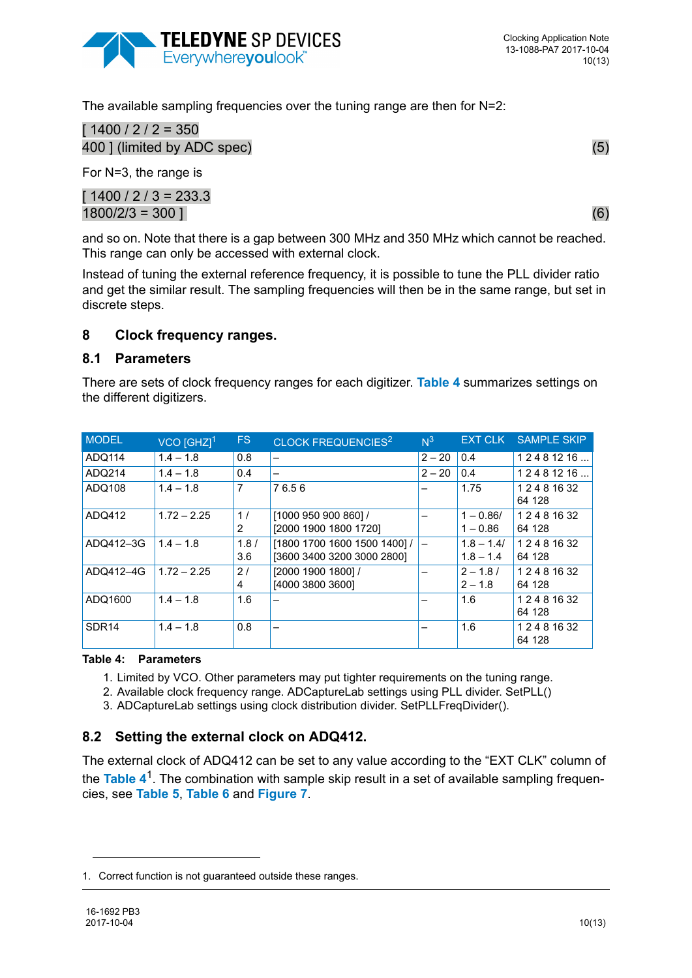![](_page_9_Picture_0.jpeg)

The available sampling frequencies over the tuning range are then for N=2:

 $[1400 / 2 / 2 = 350]$ 400 I (limited by ADC spec) (5)

For N=3, the range is

 $[1400 / 2 / 3 = 233.3]$  $1800/2/3 = 300$  ] (6)

and so on. Note that there is a gap between 300 MHz and 350 MHz which cannot be reached. This range can only be accessed with external clock.

Instead of tuning the external reference frequency, it is possible to tune the PLL divider ratio and get the similar result. The sampling frequencies will then be in the same range, but set in discrete steps.

#### <span id="page-9-0"></span>**8 Clock frequency ranges.**

#### <span id="page-9-1"></span>**8.1 Parameters**

There are sets of clock frequency ranges for each digitizer. **[Table 4](#page-9-3)** summarizes settings on the different digitizers.

| <b>MODEL</b>      | $VCO$ [GHZ] <sup>1</sup> | FS.         | CLOCK FREQUENCIES <sup>2</sup>                             | $N^3$    | <b>EXT CLK</b>              | <b>SAMPLE SKIP</b>      |
|-------------------|--------------------------|-------------|------------------------------------------------------------|----------|-----------------------------|-------------------------|
| ADQ114            | $1.4 - 1.8$              | 0.8         | -                                                          | $2 - 20$ | 0.4                         | 12481216                |
| ADQ214            | $1.4 - 1.8$              | 0.4         | -                                                          | $2 - 20$ | 0.4                         | 12481216                |
| ADQ108            | $1.4 - 1.8$              | 7           | 76.56                                                      |          | 1.75                        | 1 2 4 8 16 32<br>64 128 |
| ADQ412            | $1.72 - 2.25$            | 1/<br>2     | [1000 950 900 860] /<br>[2000 1900 1800 1720]              |          | $1 - 0.86/$<br>$1 - 0.86$   | 1 2 4 8 16 32<br>64 128 |
| ADQ412-3G         | $1.4 - 1.8$              | 1.8/<br>3.6 | [1800 1700 1600 1500 1400] /<br>[3600 3400 3200 3000 2800] |          | $1.8 - 1.4/$<br>$1.8 - 1.4$ | 1 2 4 8 16 32<br>64 128 |
| ADQ412-4G         | $1.72 - 2.25$            | 2/<br>4     | [2000 1900 1800] /<br>[4000 3800 3600]                     |          | $2 - 1.8/$<br>$2 - 1.8$     | 1 2 4 8 16 32<br>64 128 |
| ADQ1600           | $1.4 - 1.8$              | 1.6         | -                                                          |          | 1.6                         | 1 2 4 8 16 32<br>64 128 |
| SDR <sub>14</sub> | $1.4 - 1.8$              | 0.8         | -                                                          |          | 1.6                         | 1 2 4 8 16 32<br>64 128 |

#### <span id="page-9-3"></span>**Table 4: Parameters**

- 1. Limited by VCO. Other parameters may put tighter requirements on the tuning range.
- 2. Available clock frequency range. ADCaptureLab settings using PLL divider. SetPLL()
- 3. ADCaptureLab settings using clock distribution divider. SetPLLFreqDivider().

# <span id="page-9-2"></span>**8.2 Setting the external clock on ADQ412.**

The external clock of ADQ412 can be set to any value according to the "EXT CLK" column of the **[Table 4](#page-9-3)**1. The combination with sample skip result in a set of available sampling frequencies, see **[Table 5](#page-10-0)**, **[Table 6](#page-10-1)** and **[Figure 7](#page-10-2)**.

<sup>1.</sup> Correct function is not guaranteed outside these ranges.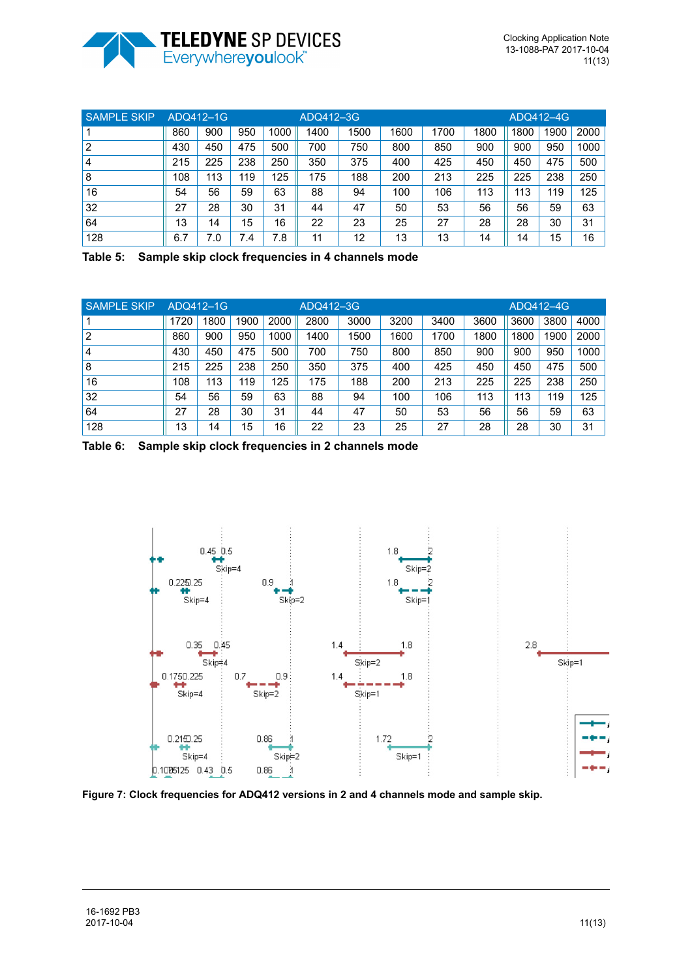![](_page_10_Picture_0.jpeg)

| <b>SAMPLE SKIP</b> |     | ADQ412-1G |     |      |      | ADQ412-3G |      |      |      | ADQ412-4G |      |      |  |
|--------------------|-----|-----------|-----|------|------|-----------|------|------|------|-----------|------|------|--|
|                    | 860 | 900       | 950 | 1000 | 1400 | 1500      | 1600 | 1700 | 1800 | 1800      | 1900 | 2000 |  |
| 2                  | 430 | 450       | 475 | 500  | 700  | 750       | 800  | 850  | 900  | 900       | 950  | 1000 |  |
| 4                  | 215 | 225       | 238 | 250  | 350  | 375       | 400  | 425  | 450  | 450       | 475  | 500  |  |
| 8                  | 108 | 113       | 119 | 125  | 175  | 188       | 200  | 213  | 225  | 225       | 238  | 250  |  |
| 16                 | 54  | 56        | 59  | 63   | 88   | 94        | 100  | 106  | 113  | 113       | 119  | 125  |  |
| 32                 | 27  | 28        | 30  | 31   | 44   | 47        | 50   | 53   | 56   | 56        | 59   | 63   |  |
| 64                 | 13  | 14        | 15  | 16   | 22   | 23        | 25   | 27   | 28   | 28        | 30   | 31   |  |
| 128                | 6.7 | 7.0       | 7.4 | 7.8  | 11   | 12        | 13   | 13   | 14   | 14        | 15   | 16   |  |

<span id="page-10-0"></span>**Table 5: Sample skip clock frequencies in 4 channels mode**

| <b>SAMPLE SKIP</b> |      | ADQ412-1G |      |      | ADQ412-3G |      |      |      | ADQ412-4G |      |      |      |
|--------------------|------|-----------|------|------|-----------|------|------|------|-----------|------|------|------|
|                    | 1720 | 1800      | 1900 | 2000 | 2800      | 3000 | 3200 | 3400 | 3600      | 3600 | 3800 | 4000 |
|                    | 860  | 900       | 950  | 1000 | 1400      | 1500 | 1600 | 1700 | 1800      | 1800 | 1900 | 2000 |
| 4                  | 430  | 450       | 475  | 500  | 700       | 750  | 800  | 850  | 900       | 900  | 950  | 1000 |
| 8                  | 215  | 225       | 238  | 250  | 350       | 375  | 400  | 425  | 450       | 450  | 475  | 500  |
| 16                 | 108  | 113       | 119  | 125  | 175       | 188  | 200  | 213  | 225       | 225  | 238  | 250  |
| 32                 | 54   | 56        | 59   | 63   | 88        | 94   | 100  | 106  | 113       | 113  | 119  | 125  |
| 64                 | 27   | 28        | 30   | 31   | 44        | 47   | 50   | 53   | 56        | 56   | 59   | 63   |
| 128                | 13   | 14        | 15   | 16   | 22        | 23   | 25   | 27   | 28        | 28   | 30   | 31   |

<span id="page-10-1"></span>**Table 6: Sample skip clock frequencies in 2 channels mode**

![](_page_10_Figure_6.jpeg)

<span id="page-10-2"></span>**Figure 7: Clock frequencies for ADQ412 versions in 2 and 4 channels mode and sample skip.**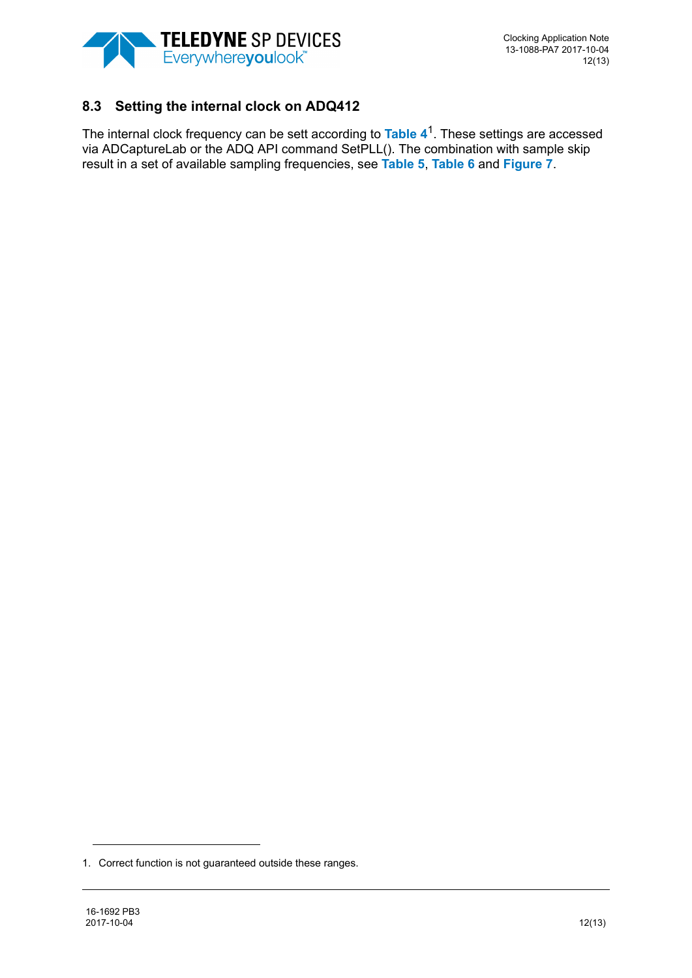![](_page_11_Picture_0.jpeg)

# <span id="page-11-0"></span>**8.3 Setting the internal clock on ADQ412**

The internal clock frequency can be sett according to **[Table 4](#page-9-3)**1. These settings are accessed via ADCaptureLab or the ADQ API command SetPLL(). The combination with sample skip result in a set of available sampling frequencies, see **[Table 5](#page-10-0)**, **[Table 6](#page-10-1)** and **[Figure 7](#page-10-2)**.

<sup>1.</sup> Correct function is not guaranteed outside these ranges.